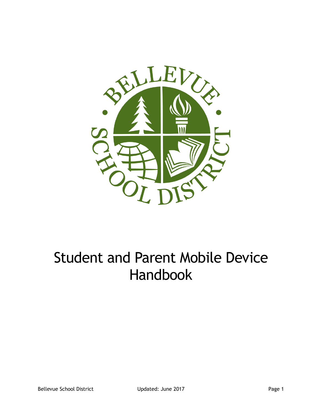

# Student and Parent Mobile Device Handbook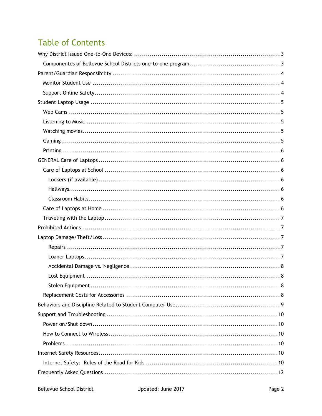# **Table of Contents**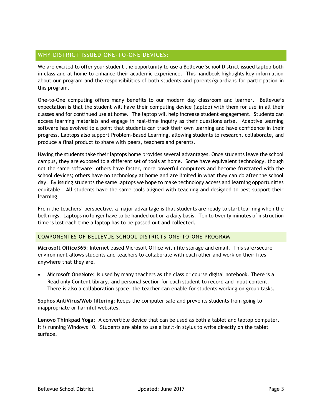# WHY DISTRICT ISSUED ONE-TO-ONE DEVICES:

We are excited to offer your student the opportunity to use a Bellevue School District issued laptop both in class and at home to enhance their academic experience. This handbook highlights key information about our program and the responsibilities of both students and parents/guardians for participation in this program.

One-to-One computing offers many benefits to our modern day classroom and learner. Bellevue's expectation is that the student will have their computing device (laptop) with them for use in all their classes and for continued use at home. The laptop will help increase student engagement. Students can access learning materials and engage in real-time inquiry as their questions arise. Adaptive learning software has evolved to a point that students can track their own learning and have confidence in their progress. Laptops also support Problem-Based Learning, allowing students to research, collaborate, and produce a final product to share with peers, teachers and parents.

Having the students take their laptops home provides several advantages. Once students leave the school campus, they are exposed to a different set of tools at home. Some have equivalent technology, though not the same software; others have faster, more powerful computers and become frustrated with the school devices; others have no technology at home and are limited in what they can do after the school day. By issuing students the same laptops we hope to make technology access and learning opportunities equitable. All students have the same tools aligned with teaching and designed to best support their learning.

From the teachers' perspective, a major advantage is that students are ready to start learning when the bell rings. Laptops no longer have to be handed out on a daily basis. Ten to twenty minutes of instruction time is lost each time a laptop has to be passed out and collected.

# COMPONENTES OF BELLEVUE SCHOOL DISTRICTS ONE-TO-ONE PROGRAM

**Microsoft Office365**: Internet based Microsoft Office with file storage and email. This safe/secure environment allows students and teachers to collaborate with each other and work on their files anywhere that they are.

• **Microsoft OneNote:** Is used by many teachers as the class or course digital notebook. There is a Read only Content library, and personal section for each student to record and input content. There is also a collaboration space, the teacher can enable for students working on group tasks.

**Sophos AntiVirus/Web filtering:** Keeps the computer safe and prevents students from going to inappropriate or harmful websites.

**Lenovo Thinkpad Yoga:** A convertible device that can be used as both a tablet and laptop computer. It is running Windows 10. Students are able to use a built-in stylus to write directly on the tablet surface.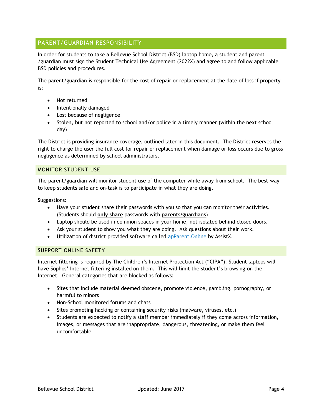# PARENT/GUARDIAN RESPONSIBILITY

In order for students to take a Bellevue School District (BSD) laptop home, a student and parent /guardian must sign the Student Technical Use Agreement (2022X) and agree to and follow applicable BSD policies and procedures.

The parent/guardian is responsible for the cost of repair or replacement at the date of loss if property is:

- Not returned
- Intentionally damaged
- Lost because of negligence
- Stolen, but not reported to school and/or police in a timely manner (within the next school day)

The District is providing insurance coverage, outlined later in this document. The District reserves the right to charge the user the full cost for repair or replacement when damage or loss occurs due to gross negligence as determined by school administrators.

#### MONITOR STUDENT USE

The parent/guardian will monitor student use of the computer while away from school. The best way to keep students safe and on-task is to participate in what they are doing.

Suggestions:

- Have your student share their passwords with you so that you can monitor their activities. (Students should **only share** passwords with **parents/guardians**)
- Laptop should be used in common spaces in your home, not isolated behind closed doors.
- Ask your student to show you what they are doing. Ask questions about their work.
- Utilization of district provided software called apParent. Online by AssistX.

# SUPPORT ONLINE SAFETY

Internet filtering is required by The Children's Internet Protection Act ("CIPA"). Student laptops will have Sophos' Internet filtering installed on them. This will limit the student's browsing on the Internet. General categories that are blocked as follows:

- Sites that include material deemed obscene, promote violence, gambling, pornography, or harmful to minors
- Non-School monitored forums and chats
- Sites promoting hacking or containing security risks (malware, viruses, etc.)
- Students are expected to notify a staff member immediately if they come across information, images, or messages that are inappropriate, dangerous, threatening, or make them feel uncomfortable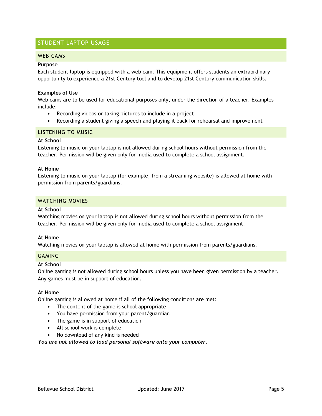# STUDENT LAPTOP USAGE

#### WEB CAMS

#### **Purpose**

Each student laptop is equipped with a web cam. This equipment offers students an extraordinary opportunity to experience a 21st Century tool and to develop 21st Century communication skills.

#### **Examples of Use**

Web cams are to be used for educational purposes only, under the direction of a teacher. Examples include:

- Recording videos or taking pictures to include in a project
- Recording a student giving a speech and playing it back for rehearsal and improvement

#### LISTENING TO MUSIC

#### **At School**

Listening to music on your laptop is not allowed during school hours without permission from the teacher. Permission will be given only for media used to complete a school assignment.

#### **At Home**

Listening to music on your laptop (for example, from a streaming website) is allowed at home with permission from parents/guardians.

#### WATCHING MOVIES

#### **At School**

Watching movies on your laptop is not allowed during school hours without permission from the teacher. Permission will be given only for media used to complete a school assignment.

#### **At Home**

Watching movies on your laptop is allowed at home with permission from parents/guardians.

#### GAMING

#### **At School**

Online gaming is not allowed during school hours unless you have been given permission by a teacher. Any games must be in support of education.

#### **At Home**

Online gaming is allowed at home if all of the following conditions are met:

- The content of the game is school appropriate
- You have permission from your parent/guardian
- The game is in support of education
- All school work is complete
- No download of any kind is needed

*You are not allowed to load personal software onto your computer.*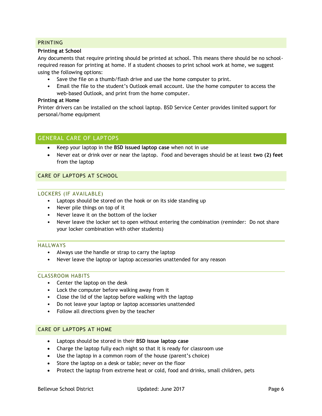# PRINTING

#### **Printing at School**

Any documents that require printing should be printed at school. This means there should be no schoolrequired reason for printing at home. If a student chooses to print school work at home, we suggest using the following options:

- Save the file on a thumb/flash drive and use the home computer to print.
- Email the file to the student's Outlook email account. Use the home computer to access the web-based Outlook, and print from the home computer.

#### **Printing at Home**

Printer drivers can be installed on the school laptop. BSD Service Center provides limited support for personal/home equipment

# GENERAL CARE OF LAPTOPS

- Keep your laptop in the **BSD issued laptop case** when not in use
- Never eat or drink over or near the laptop. Food and beverages should be at least **two (2) feet** from the laptop

#### CARE OF LAPTOPS AT SCHOOL

#### LOCKERS (IF AVAILABLE)

- Laptops should be stored on the hook or on its side standing up
- Never pile things on top of it
- Never leave it on the bottom of the locker
- Never leave the locker set to open without entering the combination (reminder: Do not share your locker combination with other students)

#### HALLWAYS

- Always use the handle or strap to carry the laptop
- Never leave the laptop or laptop accessories unattended for any reason

#### CLASSROOM HABITS

- Center the laptop on the desk
- Lock the computer before walking away from it
- Close the lid of the laptop before walking with the laptop
- Do not leave your laptop or laptop accessories unattended
- Follow all directions given by the teacher

#### CARE OF LAPTOPS AT HOME

- Laptops should be stored in their **BSD issue laptop case**
- Charge the laptop fully each night so that it is ready for classroom use
- Use the laptop in a common room of the house (parent's choice)
- Store the laptop on a desk or table; never on the floor
- Protect the laptop from extreme heat or cold, food and drinks, small children, pets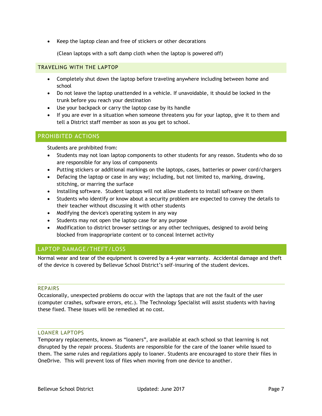• Keep the laptop clean and free of stickers or other decorations

(Clean laptops with a soft damp cloth when the laptop is powered off)

#### TRAVELING WITH THE LAPTOP

- Completely shut down the laptop before traveling anywhere including between home and school
- Do not leave the laptop unattended in a vehicle. If unavoidable, it should be locked in the trunk before you reach your destination
- Use your backpack or carry the laptop case by its handle
- If you are ever in a situation when someone threatens you for your laptop, give it to them and tell a District staff member as soon as you get to school.

# PROHIBITED ACTIONS

Students are prohibited from:

- Students may not loan laptop components to other students for any reason. Students who do so are responsible for any loss of components
- Putting stickers or additional markings on the laptops, cases, batteries or power cord/chargers
- Defacing the laptop or case in any way; including, but not limited to, marking, drawing, stitching, or marring the surface
- Installing software. Student laptops will not allow students to install software on them
- Students who identify or know about a security problem are expected to convey the details to their teacher without discussing it with other students
- Modifying the device's operating system in any way
- Students may not open the laptop case for any purpose
- Modification to district browser settings or any other techniques, designed to avoid being blocked from inappropriate content or to conceal Internet activity

# LAPTOP DAMAGE/THEFT/LOSS

Normal wear and tear of the equipment is covered by a 4-year warranty. Accidental damage and theft of the device is covered by Bellevue School District's self-insuring of the student devices.

#### REPAIRS

Occasionally, unexpected problems do occur with the laptops that are not the fault of the user (computer crashes, software errors, etc.). The Technology Specialist will assist students with having these fixed. These issues will be remedied at no cost.

#### LOANER LAPTOPS

Temporary replacements, known as "loaners", are available at each school so that learning is not disrupted by the repair process. Students are responsible for the care of the loaner while issued to them. The same rules and regulations apply to loaner. Students are encouraged to store their files in OneDrive. This will prevent loss of files when moving from one device to another.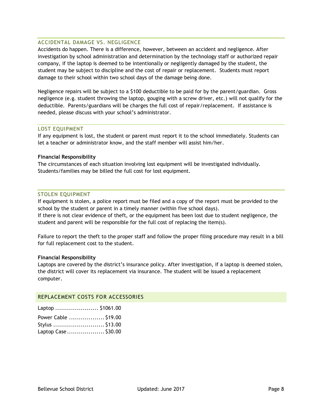#### ACCIDENTAL DAMAGE VS. NEGLIGENCE

Accidents do happen. There is a difference, however, between an accident and negligence. After investigation by school administration and determination by the technology staff or authorized repair company, if the laptop is deemed to be intentionally or negligently damaged by the student, the student may be subject to discipline and the cost of repair or replacement. Students must report damage to their school within two school days of the damage being done.

Negligence repairs will be subject to a \$100 deductible to be paid for by the parent/guardian. Gross negligence (e.g. student throwing the laptop, gouging with a screw driver, etc.) will not qualify for the deductible. Parents/guardians will be charges the full cost of repair/replacement. If assistance is needed, please discuss with your school's administrator.

#### LOST EQUIPMENT

If any equipment is lost, the student or parent must report it to the school immediately. Students can let a teacher or administrator know, and the staff member will assist him/her.

#### **Financial Responsibility**

The circumstances of each situation involving lost equipment will be investigated individually. Students/families may be billed the full cost for lost equipment.

#### STOLEN EQUIPMENT

If equipment is stolen, a police report must be filed and a copy of the report must be provided to the school by the student or parent in a timely manner (within five school days). If there is not clear evidence of theft, or the equipment has been lost due to student negligence, the

student and parent will be responsible for the full cost of replacing the item(s).

Failure to report the theft to the proper staff and follow the proper filing procedure may result in a bill for full replacement cost to the student.

#### **Financial Responsibility**

Laptops are covered by the district's insurance policy. After investigation, if a laptop is deemed stolen, the district will cover its replacement via insurance. The student will be issued a replacement computer.

#### REPLACEMENT COSTS FOR ACCESSORIES

| Laptop  \$1061.00    |  |
|----------------------|--|
| Power Cable  \$19.00 |  |
| Stylus  \$13.00      |  |
| Laptop Case\$30.00   |  |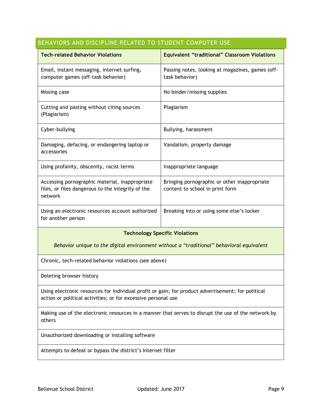# BEHAVIORS AND DISCIPLINE RELATED TO STUDENT COMPUTER USE

| <b>Tech-related Behavior Violations</b>                                                                        | <b>Equivalent "traditional" Classroom Violations</b>                            |  |
|----------------------------------------------------------------------------------------------------------------|---------------------------------------------------------------------------------|--|
| Email, instant messaging, internet surfing,<br>computer games (off-task behavior)                              | Passing notes, looking at magazines, games (off-<br>task behavior)              |  |
| Missing case                                                                                                   | No binder/missing supplies                                                      |  |
| Cutting and pasting without citing sources<br>(Plagiarism)                                                     | Plagiarism                                                                      |  |
| Cyber-bullying                                                                                                 | Bullying, harassment                                                            |  |
| Damaging, defacing, or endangering laptop or<br>accessories                                                    | Vandalism, property damage                                                      |  |
| Using profanity, obscenity, racist terms                                                                       | Inappropriate language                                                          |  |
| Accessing pornographic material, inappropriate<br>files, or files dangerous to the integrity of the<br>network | Bringing pornographic or other inappropriate<br>content to school in print form |  |
| Using an electronic resources account authorized<br>for another person                                         | Breaking into or using some else's locker                                       |  |
| <b>Technology Specific Violations</b>                                                                          |                                                                                 |  |

*Behavior unique to the digital environment without a "traditional" behavioral equivalent*

Chronic, tech-related behavior violations (see above)

Deleting browser history

Using electronic resources for individual profit or gain; for product advertisement; for political action or political activities; or for excessive personal use

Making use of the electronic resources in a manner that serves to disrupt the use of the network by others

Unauthorized downloading or installing software

Attempts to defeat or bypass the district's Internet filter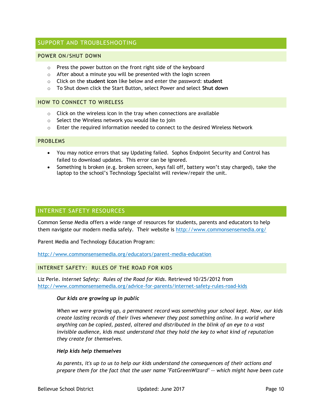# SUPPORT AND TROUBLESHOOTING

#### POWER ON/SHUT DOWN

- o Press the power button on the front right side of the keyboard
- $\circ$  After about a minute you will be presented with the login screen
- o Click on the **student icon** like below and enter the password: **student**
- o To Shut down click the Start Button, select Power and select **Shut down**

#### HOW TO CONNECT TO WIRELESS

- $\circ$  Click on the wireless icon in the tray when connections are available
- o Select the Wireless network you would like to join
- $\circ$  Enter the required information needed to connect to the desired Wireless Network

#### PROBLEMS

- You may notice errors that say Updating failed. Sophos Endpoint Security and Control has failed to download updates. This error can be ignored.
- Something is broken (e.g. broken screen, keys fall off, battery won't stay charged), take the laptop to the school's Technology Specialist will review/repair the unit.

#### INTERNET SAFETY RESOURCES

Common Sense Media offers a wide range of resources for students, parents and educators to help them navigate our modern media safely. Their website is http://www.commonsensemedia.org/

Parent Media and Technology Education Program:

http://www.commonsensemedia.org/educators/parent-media-education

#### INTERNET SAFETY: RULES OF THE ROAD FOR KIDS

Liz Perle. *Internet Safety: Rules of the Road for Kids*. Retrieved 10/25/2012 from http://www.commonsensemedia.org/advice-for-parents/internet-safety-rules-road-kids

#### *Our kids are growing up in public*

*When we were growing up, a permanent record was something your school kept. Now, our kids create lasting records of their lives whenever they post something online. In a world where anything can be copied, pasted, altered and distributed in the blink of an eye to a vast*  invisible audience, kids must understand that they hold the key to what kind of reputation *they create for themselves.*

#### *Help kids help themselves*

*As parents, it's up to us to help our kids understand the consequences of their actions and prepare them for the fact that the user name "FatGreenWizard" -- which might have been cute*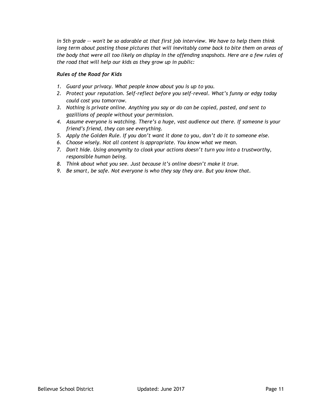*in 5th grade -- won't be so adorable at that first job interview. We have to help them think long term about posting those pictures that will inevitably come back to bite them on areas of the body that were all too likely on display in the offending snapshots. Here are a few rules of the road that will help our kids as they grow up in public:*

# *Rules of the Road for Kids*

- *1. Guard your privacy. What people know about you is up to you.*
- *2. Protect your reputation. Self-reflect before you self-reveal. What's funny or edgy today could cost you tomorrow.*
- *3. Nothing is private online. Anything you say or do can be copied, pasted, and sent to gazillions of people without your permission.*
- *4. Assume everyone is watching. There's a huge, vast audience out there. If someone is your friend's friend, they can see everything.*
- *5. Apply the Golden Rule. If you don't want it done to you, don't do it to someone else.*
- *6. Choose wisely. Not all content is appropriate. You know what we mean.*
- *7. Don't hide. Using anonymity to cloak your actions doesn't turn you into a trustworthy, responsible human being.*
- *8. Think about what you see. Just because it's online doesn't make it true.*
- *9. Be smart, be safe. Not everyone is who they say they are. But you know that.*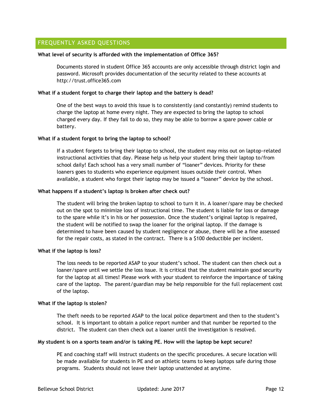# FREQUENTLY ASKED QUESTIONS

#### **What level of security is afforded with the implementation of Office 365?**

Documents stored in student Office 365 accounts are only accessible through district login and password. Microsoft provides documentation of the security related to these accounts at http://trust.office365.com

#### **What if a student forgot to charge their laptop and the battery is dead?**

One of the best ways to avoid this issue is to consistently (and constantly) remind students to charge the laptop at home every night. They are expected to bring the laptop to school charged every day. If they fail to do so, they may be able to borrow a spare power cable or battery.

#### **What if a student forgot to bring the laptop to school?**

If a student forgets to bring their laptop to school, the student may miss out on laptop-related instructional activities that day. Please help us help your student bring their laptop to/from school daily! Each school has a very small number of "loaner" devices. Priority for these loaners goes to students who experience equipment issues outside their control. When available, a student who forgot their laptop may be issued a "loaner" device by the school.

#### **What happens if a student's laptop is broken after check out?**

The student will bring the broken laptop to school to turn it in. A loaner/spare may be checked out on the spot to minimize loss of instructional time. The student is liable for loss or damage to the spare while it's in his or her possession. Once the student's original laptop is repaired, the student will be notified to swap the loaner for the original laptop. If the damage is determined to have been caused by student negligence or abuse, there will be a fine assessed for the repair costs, as stated in the contract. There is a \$100 deductible per incident.

#### **What if the laptop is loss?**

The loss needs to be reported ASAP to your student's school. The student can then check out a loaner/spare until we settle the loss issue. It is critical that the student maintain good security for the laptop at all times! Please work with your student to reinforce the importance of taking care of the laptop. The parent/guardian may be help responsible for the full replacement cost of the laptop.

#### **What if the laptop is stolen?**

The theft needs to be reported ASAP to the local police department and then to the student's school. It is important to obtain a police report number and that number be reported to the district. The student can then check out a loaner until the investigation is resolved.

#### **My student is on a sports team and/or is taking PE. How will the laptop be kept secure?**

PE and coaching staff will instruct students on the specific procedures. A secure location will be made available for students in PE and on athletic teams to keep laptops safe during those programs. Students should not leave their laptop unattended at anytime.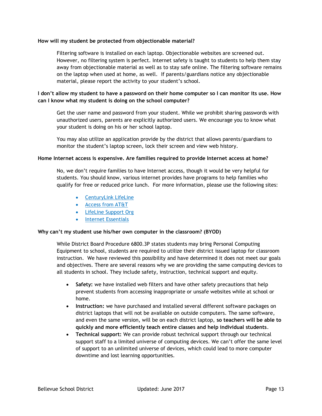#### **How will my student be protected from objectionable material?**

Filtering software is installed on each laptop. Objectionable websites are screened out. However, no filtering system is perfect. Internet safety is taught to students to help them stay away from objectionable material as well as to stay safe online. The filtering software remains on the laptop when used at home, as well. If parents/guardians notice any objectionable material, please report the activity to your student's school.

# **I don't allow my student to have a password on their home computer so I can monitor its use. How can I know what my student is doing on the school computer?**

Get the user name and password from your student. While we prohibit sharing passwords with unauthorized users, parents are explicitly authorized users. We encourage you to know what your student is doing on his or her school laptop.

You may also utilize an application provide by the district that allows parents/guardians to monitor the student's laptop screen, lock their screen and view web history.

#### **Home Internet access is expensive. Are families required to provide Internet access at home?**

No, we don't require families to have Internet access, though it would be very helpful for students. You should know, various internet provides have programs to help families who qualify for free or reduced price lunch. For more information, please use the following sites:

- CenturyLink LifeLine
- Access from AT&T
- LifeLine Support Org
- Internet Essentials

# **Why can't my student use his/her own computer in the classroom? (BYOD)**

While District Board Procedure 6800.3P states students may bring Personal Computing Equipment to school, students are required to utilize their district issued laptop for classroom instruction. We have reviewed this possibility and have determined it does not meet our goals and objectives. There are several reasons why we are providing the same computing devices to all students in school. They include safety, instruction, technical support and equity.

- **Safety:** we have installed web filters and have other safety precautions that help prevent students from accessing inappropriate or unsafe websites while at school or home.
- **Instruction:** we have purchased and installed several different software packages on district laptops that will not be available on outside computers. The same software, and even the same version, will be on each district laptop, **so teachers will be able to quickly and more efficiently teach entire classes and help individual students**.
- **Technical support:** We can provide robust technical support through our technical support staff to a limited universe of computing devices. We can't offer the same level of support to an unlimited universe of devices, which could lead to more computer downtime and lost learning opportunities.